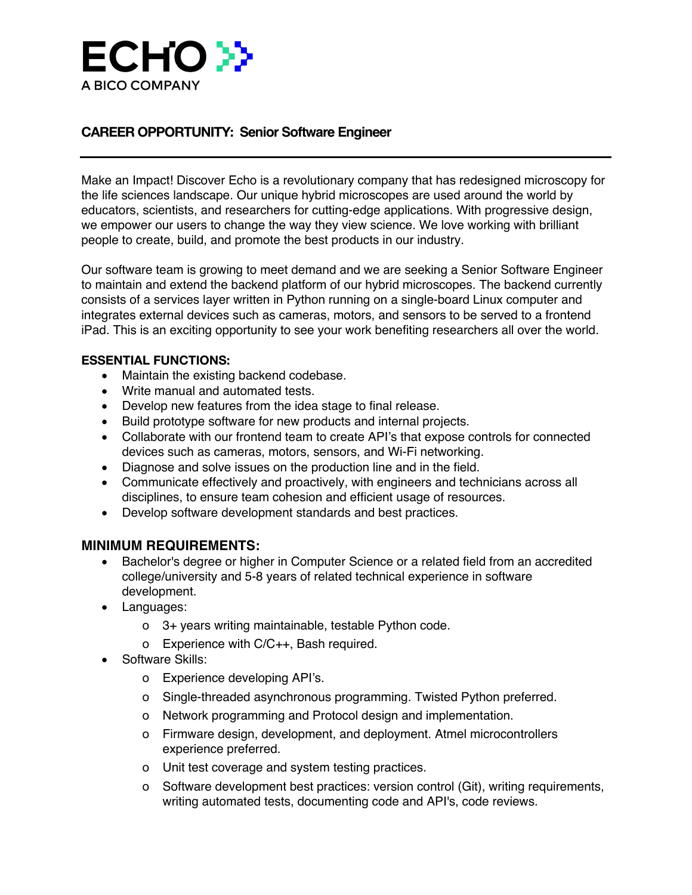

## **CAREER OPPORTUNITY: Senior Software Engineer**

Make an Impact! Discover Echo is a revolutionary company that has redesigned microscopy for the life sciences landscape. Our unique hybrid microscopes are used around the world by educators, scientists, and researchers for cutting-edge applications. With progressive design, we empower our users to change the way they view science. We love working with brilliant people to create, build, and promote the best products in our industry.

Our software team is growing to meet demand and we are seeking a Senior Software Engineer to maintain and extend the backend platform of our hybrid microscopes. The backend currently consists of a services layer written in Python running on a single-board Linux computer and integrates external devices such as cameras, motors, and sensors to be served to a frontend iPad. This is an exciting opportunity to see your work benefiting researchers all over the world.

## **ESSENTIAL FUNCTIONS:**

- Maintain the existing backend codebase.
- Write manual and automated tests.
- Develop new features from the idea stage to final release.
- Build prototype software for new products and internal projects.
- Collaborate with our frontend team to create API's that expose controls for connected devices such as cameras, motors, sensors, and Wi-Fi networking.
- Diagnose and solve issues on the production line and in the field.
- Communicate effectively and proactively, with engineers and technicians across all disciplines, to ensure team cohesion and efficient usage of resources.
- Develop software development standards and best practices.

## **MINIMUM REQUIREMENTS:**

- Bachelor's degree or higher in Computer Science or a related field from an accredited college/university and 5-8 years of related technical experience in software development.
- Languages:
	- ! 3+ years writing maintainable, testable Python code.
	- o Experience with C/C++, Bash required.
- Software Skills:
	- o Experience developing API's.
	- o Single-threaded asynchronous programming. Twisted Python preferred.
	- o Network programming and Protocol design and implementation.
	- o Firmware design, development, and deployment. Atmel microcontrollers experience preferred.
	- o Unit test coverage and system testing practices.
	- ! Software development best practices: version control (Git), writing requirements, writing automated tests, documenting code and API's, code reviews.